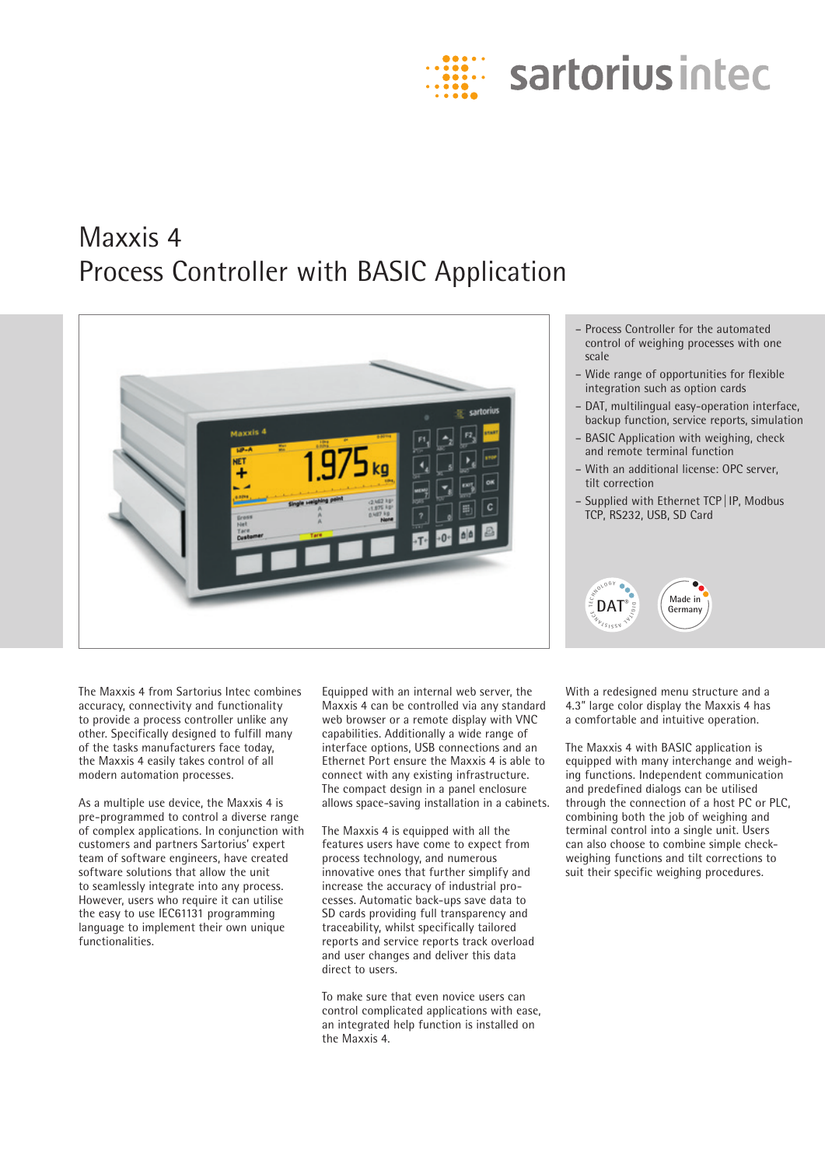

# Maxxis 4 Process Controller with BASIC Application



- Process Controller for the automated control of weighing processes with one scale
- Wide range of opportunities for flexible integration such as option cards
- DAT, multilingual easy-operation interface, backup function, service reports, simulation
- BASIC Application with weighing, check and remote terminal function
- With an additional license: OPC server, tilt correction
- Supplied with Ethernet TCP|IP, Modbus TCP, RS232, USB, SD Card



The Maxxis 4 from Sartorius Intec combines accuracy, connectivity and functionality to provide a process controller unlike any other. Specifically designed to fulfill many of the tasks manufacturers face today, the Maxxis 4 easily takes control of all modern automation processes.

As a multiple use device, the Maxxis 4 is pre-programmed to control a diverse range of complex applications. In conjunction with customers and partners Sartorius' expert team of software engineers, have created software solutions that allow the unit to seamlessly integrate into any process. However, users who require it can utilise the easy to use IEC61131 programming language to implement their own unique functionalities.

Equipped with an internal web server, the Maxxis 4 can be controlled via any standard web browser or a remote display with VNC capabilities. Additionally a wide range of interface options, USB connections and an Ethernet Port ensure the Maxxis 4 is able to connect with any existing infrastructure. The compact design in a panel enclosure allows space-saving installation in a cabinets.

The Maxxis 4 is equipped with all the features users have come to expect from process technology, and numerous innovative ones that further simplify and increase the accuracy of industrial processes. Automatic back-ups save data to SD cards providing full transparency and traceability, whilst specifically tailored reports and service reports track overload and user changes and deliver this data direct to users.

To make sure that even novice users can control complicated applications with ease, an integrated help function is installed on the Maxxis 4.

With a redesigned menu structure and a 4.3" large color display the Maxxis 4 has a comfortable and intuitive operation.

The Maxxis 4 with BASIC application is equipped with many interchange and weighing functions. Independent communication and predefined dialogs can be utilised through the connection of a host PC or PLC, combining both the job of weighing and terminal control into a single unit. Users can also choose to combine simple checkweighing functions and tilt corrections to suit their specific weighing procedures.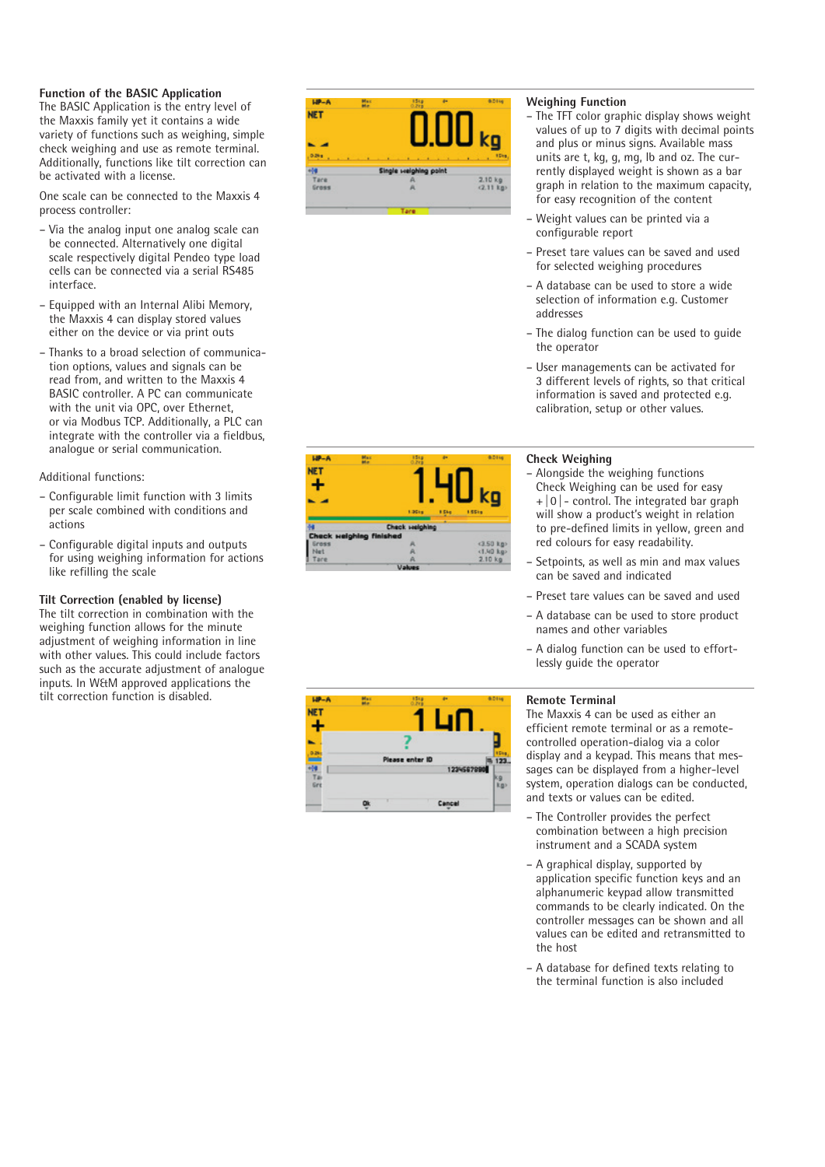# **Function of the BASIC Application**

The BASIC Application is the entry level of the Maxxis family yet it contains a wide variety of functions such as weighing, simple check weighing and use as remote terminal. Additionally, functions like tilt correction can be activated with a license.

One scale can be connected to the Maxxis 4 process controller:

- Via the analog input one analog scale can be connected. Alternatively one digital scale respectively digital Pendeo type load cells can be connected via a serial RS485 interface.
- Equipped with an Internal Alibi Memory, the Maxxis 4 can display stored values either on the device or via print outs
- Thanks to a broad selection of communica tion options, values and signals can be read from, and written to the Maxxis 4 BASIC controller. A PC can communicate with the unit via OPC, over Ethernet, or via Modbus TCP. Additionally, a PLC can integrate with the controller via a fieldbus, analogue or serial communication.

# Additional functions:

- Configurable limit function with 3 limits per scale combined with conditions and actions
- Configurable digital inputs and outputs for using weighing information for actions like refilling the scale

# **Tilt Correction (enabled by license)**

The tilt correction in combination with the weighing function allows for the minute adjustment of weighing information in line with other values. This could include factors such as the accurate adjustment of analogue inputs. In W&M approved applications the tilt correction function is disabled.



# **Weighing Function**

- The TFT color graphic display shows weight values of up to 7 digits with decimal points and plus or minus signs. Available mass units are t, kg, g, mg, lb and oz. The cur rently displayed weight is shown as a bar graph in relation to the maximum capacity, for easy recognition of the content
- Weight values can be printed via a configurable report
- Preset tare values can be saved and used for selected weighing procedures
- A database can be used to store a wide selection of information e.g. Customer addresses
- The dialog function can be used to guide the operator
- User managements can be activated for 3 different levels of rights, so that critical information is saved and protected e.g. calibration, setup or other values.



- Alongside the weighing functions Check Weighing can be used for easy  $+|0|$  - control. The integrated bar graph will show a product's weight in relation to pre-defined limits in yellow, green and red colours for easy readability.
- Setpoints, as well as min and max values can be saved and indicated
- Preset tare values can be saved and used
- A database can be used to store product names and other variables
- A dialog function can be used to effort lessly guide the operator

#### **Remote Terminal**

The Maxxis 4 can be used as either an efficient remote terminal or as a remotecontrolled operation-dialog via a color display and a keypad. This means that mes sages can be displayed from a higher-level system, operation dialogs can be conducted, and texts or values can be edited.

- The Controller provides the perfect combination between a high precision instrument and a SCADA system
- A graphical display, supported by application specific function keys and an alphanumeric keypad allow transmitted commands to be clearly indicated. On the controller messages can be shown and all values can be edited and retransmitted to the host
- A database for defined texts relating to the terminal function is also included



# **NET** Please enter ID 123 123458789 o Cance

 $180 - 4$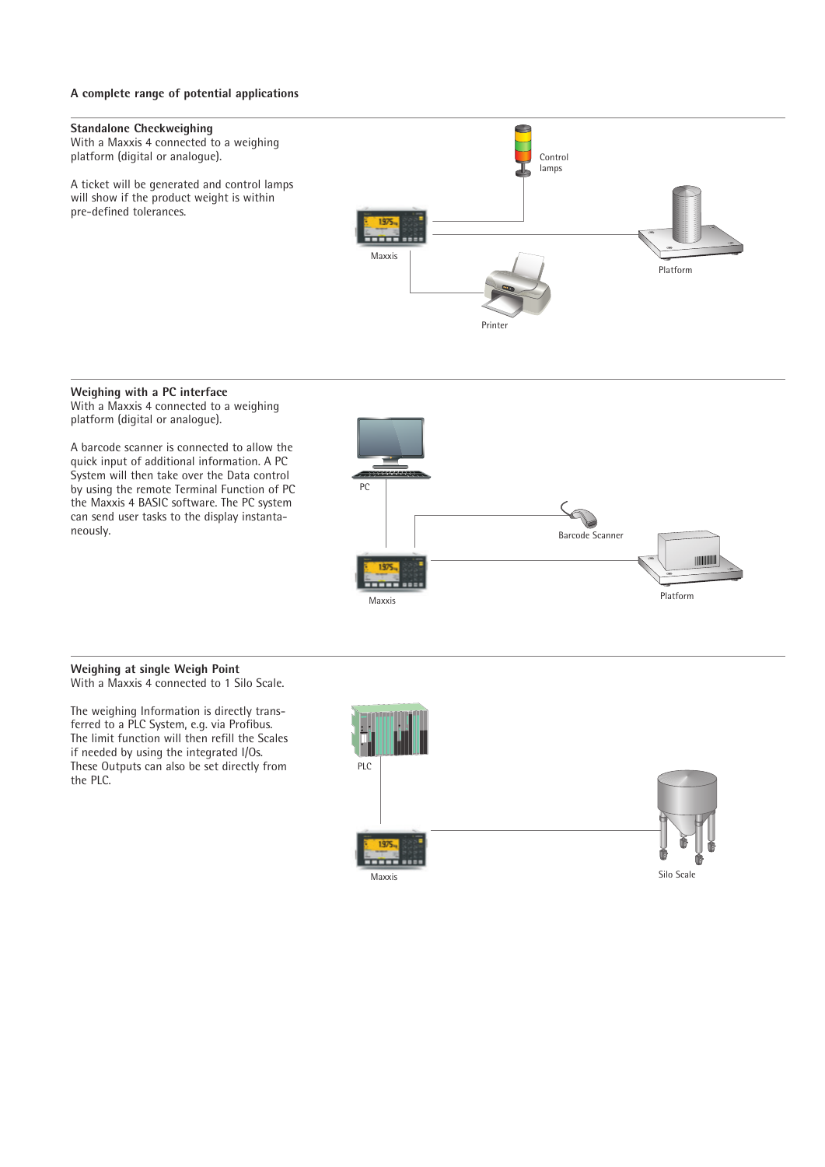# **A complete range of potential applications**



#### **Weighing with a PC interface**

With a Maxxis 4 connected to a weighing platform (digital or analogue).

A barcode scanner is connected to allow the quick input of additional information. A PC System will then take over the Data control by using the remote Terminal Function of PC the Maxxis 4 BASIC software. The PC system can send user tasks to the display instantaneously.



#### **Weighing at single Weigh Point** With a Maxxis 4 connected to 1 Silo Scale.

The weighing Information is directly transferred to a PLC System, e.g. via Profibus. The limit function will then refill the Scales if needed by using the integrated I/Os. These Outputs can also be set directly from the PLC.

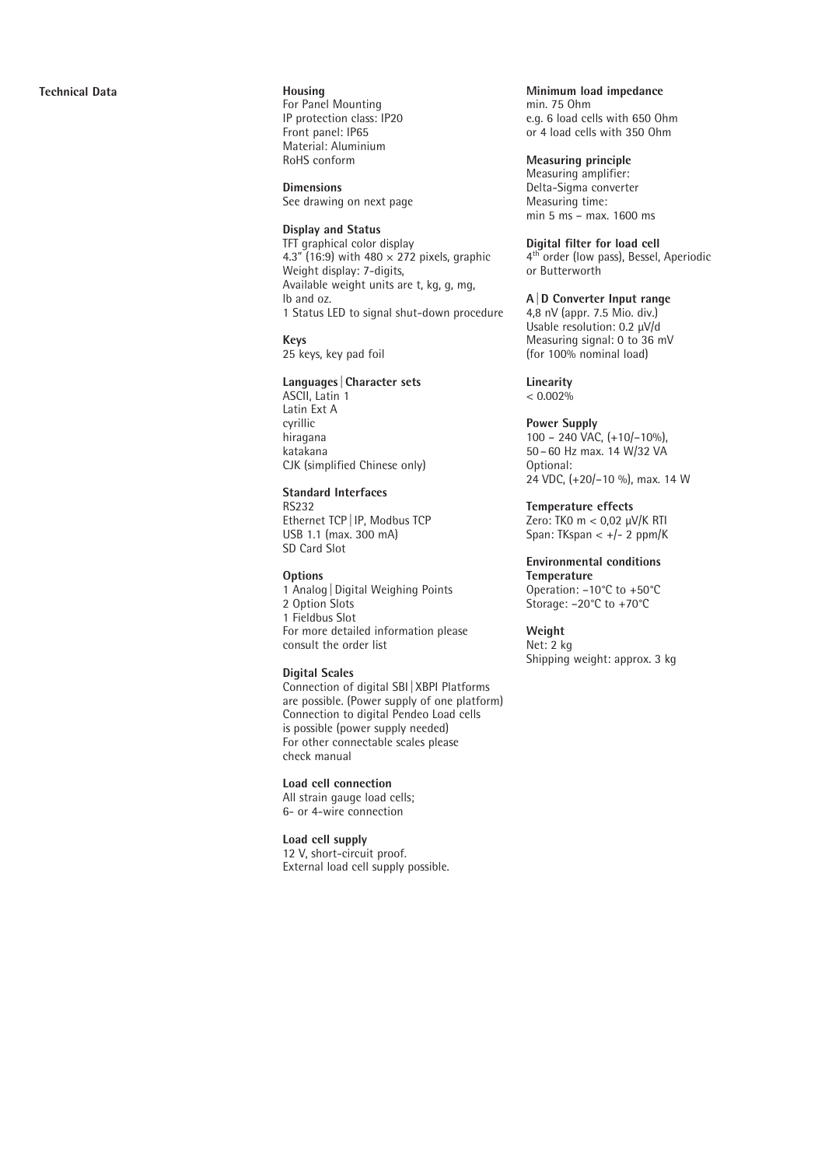For Panel Mounting IP protection class: IP20 Front panel: IP65 Material: Aluminium RoHS conform

**Dimensions** See drawing on next page

#### **Display and Status**

TFT graphical color display 4.3" (16:9) with 480  $\times$  272 pixels, graphic Weight display: 7-digits, Available weight units are t, kg, g, mg, lb and oz. 1 Status LED to signal shut-down procedure

**Keys** 25 keys, key pad foil

#### **Languages |Character sets**

ASCII, Latin 1 Latin Ext A cyrillic hiragana katakana CJK (simplified Chinese only)

#### **Standard Interfaces**

RS232 Ethernet TCP |IP, Modbus TCP USB 1.1 (max. 300 mA) SD Card Slot

#### **Options**

1 Analog |Digital Weighing Points 2 Option Slots 1 Fieldbus Slot For more detailed information please consult the order list

# **Digital Scales**

Connection of digital SBI |XBPI Platforms are possible. (Power supply of one platform) Connection to digital Pendeo Load cells is possible (power supply needed) For other connectable scales please check manual

# **Load cell connection**

All strain gauge load cells; 6- or 4-wire connection

#### **Load cell supply**

12 V, short-circuit proof. External load cell supply possible.

#### **Minimum load impedance**

min. 75 Ohm e.g. 6 load cells with 650 Ohm or 4 load cells with 350 Ohm

# **Measuring principle**

Measuring amplifier: Delta-Sigma converter Measuring time: min 5 ms – max. 1600 ms

**Digital filter for load cell**<br>4<sup>th</sup> order (low pass), Bessel, Aperiodic or Butterworth

# **A|D Converter Input range**

4,8 nV (appr. 7.5 Mio. div.) Usable resolution: 0.2 μV/d Measuring signal: 0 to 36 mV (for 100% nominal load)

# **Linearity**

 $< 0.002\%$ 

## **Power Supply**

100 – 240 VAC, (+10/–10%), 50 –60 Hz max. 14 W/32 VA Optional: 24 VDC, (+20/–10 %), max. 14 W

# **Temperature effects**

Zero: TK0 m < 0,02 μV/K RTI Span: TKspan <  $+/- 2$  ppm/K

#### **Environmental conditions Temperature**

Operation: –10°C to +50°C Storage: –20°C to +70°C

#### **Weight** Net: 2 kg

Shipping weight: approx. 3 kg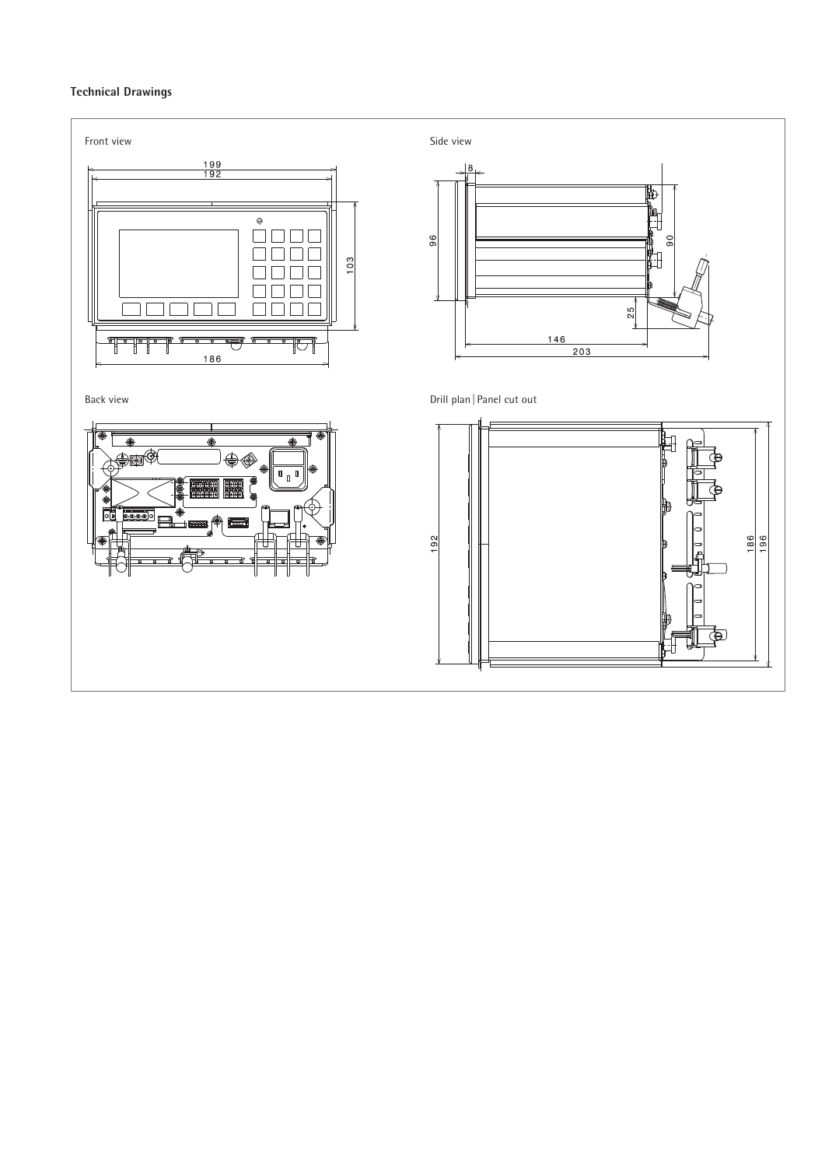# **Technical Drawings**

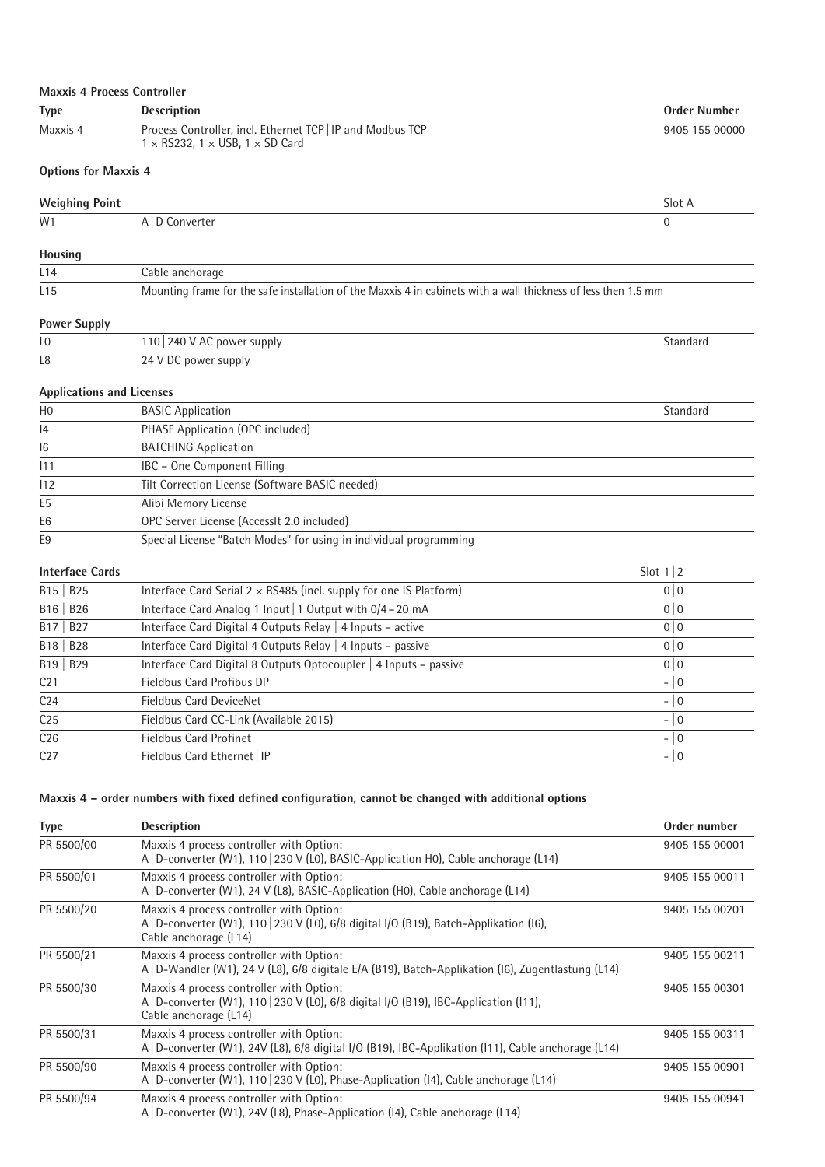| <b>Maxxis 4 Process Controller</b> |                                                                                                                                                             |                     |  |
|------------------------------------|-------------------------------------------------------------------------------------------------------------------------------------------------------------|---------------------|--|
| <b>Type</b>                        | <b>Description</b>                                                                                                                                          | <b>Order Number</b> |  |
| Maxxis 4                           | Process Controller, incl. Ethernet TCP   IP and Modbus TCP<br>$1 \times$ RS232, $1 \times$ USB, $1 \times$ SD Card                                          | 9405 155 00000      |  |
| <b>Options for Maxxis 4</b>        |                                                                                                                                                             |                     |  |
| <b>Weighing Point</b>              |                                                                                                                                                             | Slot A              |  |
| W1                                 | A   D Converter                                                                                                                                             | $\Omega$            |  |
| <b>Housing</b>                     |                                                                                                                                                             |                     |  |
| L14                                | Cable anchorage                                                                                                                                             |                     |  |
| L <sub>15</sub>                    | Mounting frame for the safe installation of the Maxxis 4 in cabinets with a wall thickness of less then 1.5 mm                                              |                     |  |
| <b>Power Supply</b>                |                                                                                                                                                             |                     |  |
| L0                                 | 110 240 V AC power supply                                                                                                                                   | Standard            |  |
| L8                                 | 24 V DC power supply                                                                                                                                        |                     |  |
| <b>Applications and Licenses</b>   |                                                                                                                                                             |                     |  |
| H <sub>0</sub>                     | <b>BASIC Application</b>                                                                                                                                    | Standard            |  |
| 14                                 | PHASE Application (OPC included)                                                                                                                            |                     |  |
| 16                                 | <b>BATCHING Application</b>                                                                                                                                 |                     |  |
| 111                                | IBC - One Component Filling                                                                                                                                 |                     |  |
| 112                                | Tilt Correction License (Software BASIC needed)                                                                                                             |                     |  |
| E <sub>5</sub>                     | Alibi Memory License                                                                                                                                        |                     |  |
| E <sub>6</sub>                     | OPC Server License (AccessIt 2.0 included)                                                                                                                  |                     |  |
| E <sub>9</sub>                     | Special License "Batch Modes" for using in individual programming                                                                                           |                     |  |
| <b>Interface Cards</b>             |                                                                                                                                                             | Slot $1 2$          |  |
| B15   B25                          | Interface Card Serial $2 \times$ RS485 (incl. supply for one IS Platform)                                                                                   | 0 0                 |  |
| $B16$ $B26$                        | Interface Card Analog 1 Input   1 Output with 0/4 - 20 mA                                                                                                   | 0 0                 |  |
| <b>B27</b><br>B17                  | Interface Card Digital 4 Outputs Relay   4 Inputs - active                                                                                                  | 0 0                 |  |
| B18<br><b>B28</b>                  | Interface Card Digital 4 Outputs Relay   4 Inputs - passive                                                                                                 | 0 0                 |  |
| $B19$ $B29$                        | Interface Card Digital 8 Outputs Optocoupler   4 Inputs - passive                                                                                           | 0 0                 |  |
| C <sub>21</sub>                    | Fieldbus Card Profibus DP                                                                                                                                   | $-$ 0               |  |
| C24                                | <b>Fieldbus Card DeviceNet</b>                                                                                                                              | $-$ 0               |  |
| C <sub>25</sub>                    | Fieldbus Card CC-Link (Available 2015)                                                                                                                      | $-10$               |  |
| C <sub>26</sub>                    | <b>Fieldbus Card Profinet</b>                                                                                                                               | $-10$               |  |
| C27                                | Fieldbus Card Ethernet   IP                                                                                                                                 | $-10$               |  |
|                                    | Maxxis 4 - order numbers with fixed defined configuration, cannot be changed with additional options                                                        |                     |  |
|                                    |                                                                                                                                                             |                     |  |
| <b>Type</b>                        | <b>Description</b>                                                                                                                                          | Order number        |  |
| PR 5500/00                         | Maxxis 4 process controller with Option:<br>A   D-converter (W1), 110   230 V (L0), BASIC-Application H0), Cable anchorage (L14)                            | 9405 155 00001      |  |
| PR 5500/01                         | Maxxis 4 process controller with Option:<br>A   D-converter (W1), 24 V (L8), BASIC-Application (H0), Cable anchorage (L14)                                  | 9405 155 00011      |  |
| PR 5500/20                         | Maxxis 4 process controller with Option:<br>A   D-converter (W1), 110   230 V (L0), 6/8 digital I/O (B19), Batch-Applikation (I6),<br>Cable anchorage (L14) | 9405 155 00201      |  |
| PR 5500/21                         | Maxxis 4 process controller with Option:                                                                                                                    | 9405 155 00211      |  |

| PR 5500/00 | Maxxis 4 process controller with Option:<br>A   D-converter (W1), 110   230 V (L0), BASIC-Application H0), Cable anchorage (L14)                            | 9405 155 00001 |
|------------|-------------------------------------------------------------------------------------------------------------------------------------------------------------|----------------|
| PR 5500/01 | Maxxis 4 process controller with Option:<br>A   D-converter (W1), 24 V (L8), BASIC-Application (H0), Cable anchorage (L14)                                  | 9405 155 00011 |
| PR 5500/20 | Maxxis 4 process controller with Option:<br>A   D-converter (W1), 110   230 V (L0), 6/8 digital I/O (B19), Batch-Applikation (I6),<br>Cable anchorage (L14) | 9405 155 00201 |
| PR 5500/21 | Maxxis 4 process controller with Option:<br>A   D-Wandler (W1), 24 V (L8), 6/8 digitale E/A (B19), Batch-Applikation (I6), Zugentlastung (L14)              | 9405 155 00211 |
| PR 5500/30 | Maxxis 4 process controller with Option:<br>A   D-converter (W1), 110   230 V (L0), 6/8 digital I/O (B19), IBC-Application (I11),<br>Cable anchorage (L14)  | 9405 155 00301 |
| PR 5500/31 | Maxxis 4 process controller with Option:<br>A D-converter (W1), 24V (L8), 6/8 digital I/O (B19), IBC-Applikation (111), Cable anchorage (L14)               | 9405 155 00311 |
| PR 5500/90 | Maxxis 4 process controller with Option:<br>A   D-converter (W1), 110   230 V (L0), Phase-Application (I4), Cable anchorage (L14)                           | 9405 155 00901 |
| PR 5500/94 | Maxxis 4 process controller with Option:<br>A   D-converter (W1), 24V (L8), Phase-Application (I4), Cable anchorage (L14)                                   | 9405 155 00941 |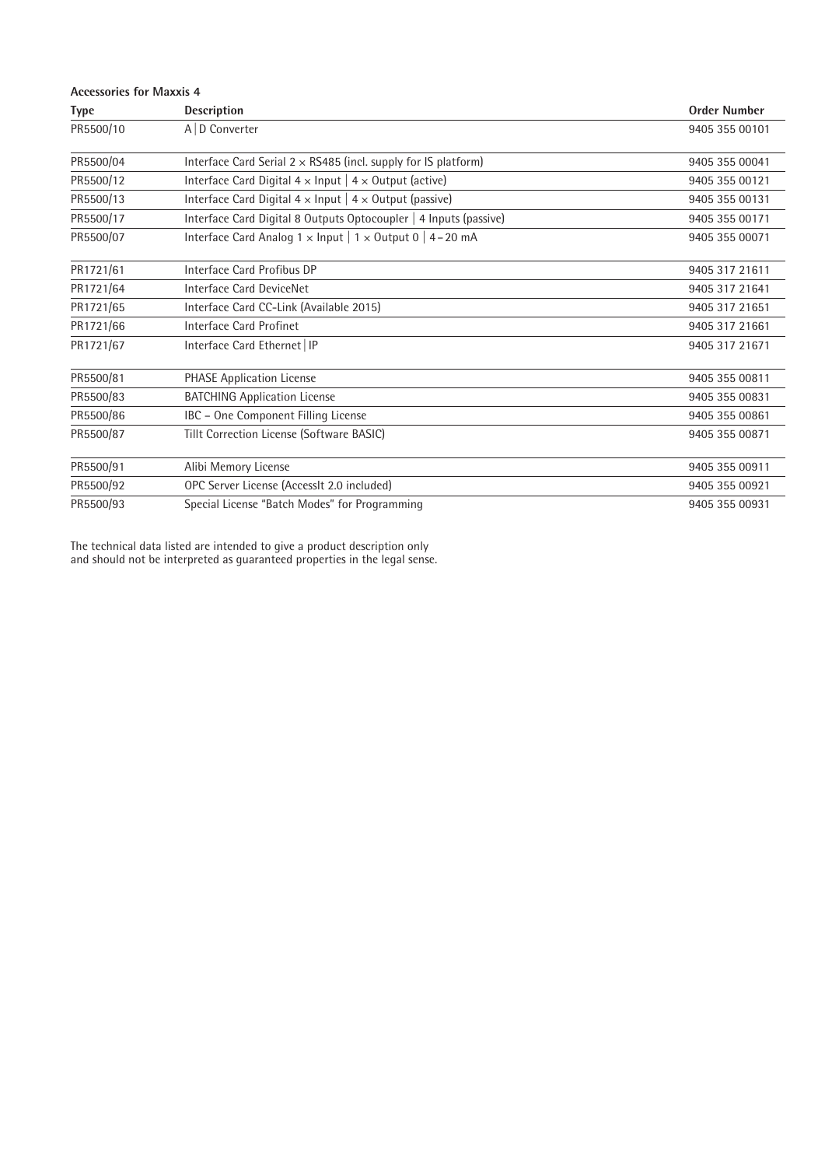| <b>Accessories for Maxxis 4</b> |                                                                          |                     |  |  |
|---------------------------------|--------------------------------------------------------------------------|---------------------|--|--|
| <b>Type</b>                     | <b>Description</b>                                                       | <b>Order Number</b> |  |  |
| PR5500/10                       | A   D Converter                                                          | 9405 355 00101      |  |  |
| PR5500/04                       | Interface Card Serial $2 \times$ RS485 (incl. supply for IS platform)    | 9405 355 00041      |  |  |
| PR5500/12                       | Interface Card Digital $4 \times$ Input   $4 \times$ Output (active)     | 9405 355 00121      |  |  |
| PR5500/13                       | Interface Card Digital $4 \times$ Input   $4 \times$ Output (passive)    | 9405 355 00131      |  |  |
| PR5500/17                       | Interface Card Digital 8 Outputs Optocoupler   4 Inputs (passive)        | 9405 355 00171      |  |  |
| PR5500/07                       | Interface Card Analog $1 \times$ Input   $1 \times$ Output 0   4 – 20 mA | 9405 355 00071      |  |  |
| PR1721/61                       | Interface Card Profibus DP                                               | 9405 317 21611      |  |  |
| PR1721/64                       | Interface Card DeviceNet                                                 | 9405 317 21641      |  |  |
| PR1721/65                       | Interface Card CC-Link (Available 2015)                                  | 9405 317 21651      |  |  |
| PR1721/66                       | Interface Card Profinet                                                  | 9405 317 21661      |  |  |
| PR1721/67                       | Interface Card Ethernet   IP                                             | 9405 317 21671      |  |  |
| PR5500/81                       | <b>PHASE Application License</b>                                         | 9405 355 00811      |  |  |
| PR5500/83                       | <b>BATCHING Application License</b>                                      | 9405 355 00831      |  |  |
| PR5500/86                       | IBC - One Component Filling License                                      | 9405 355 00861      |  |  |
| PR5500/87                       | Tillt Correction License (Software BASIC)                                | 9405 355 00871      |  |  |
| PR5500/91                       | Alibi Memory License                                                     | 9405 355 00911      |  |  |
| PR5500/92                       | OPC Server License (AccessIt 2.0 included)                               | 9405 355 00921      |  |  |
| PR5500/93                       | Special License "Batch Modes" for Programming                            | 9405 355 00931      |  |  |

The technical data listed are intended to give a product description only and should not be interpreted as guaranteed properties in the legal sense.